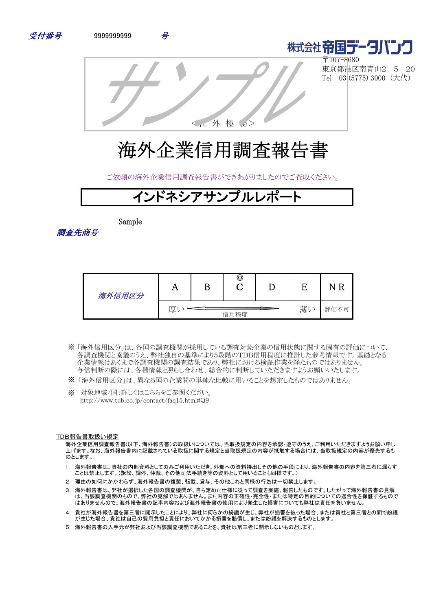



〒107-8680 東京都港区南青山2-5-20 Tel 03 (5775) 3000 (大代)

<社 外 極 秘>

# 海外企業信用調査報告書

ご依頼の海外企業信用調査報告書ができあがりましたのでご査収ください。

## バネシアサンプル

Sample

調査先商号

| 海外信用区分 | 7 Y | B | O    |    |          |
|--------|-----|---|------|----|----------|
|        | 厚   |   | 信用程度 | 薄い | 評価不<br>月 |

- 「海外信用区分」は、各国の調査機関が採用している調査対象企業の信用状態に関する固有の評価について、 ※ 各調査機関と協議のうえ、弊社独自の基準により5段階のTDB信用程度に推計した参考情報です。基礎となる 企業情報はあくまで各調査機関の調査結果であり、弊社における検証作業を経たものではありません。 与信判断の際には、各種情報と照らし合わせ、総合的に判断していただきますようお願いいたします。
- ※ 「海外信用区分」は、異なる国の企業間の単純な比較に用いることを想定したものではありません。
- ※ 対象地域/国:詳しくはこちらをご参照ください。 http://www.tdb.co.jp/contact/faq15.html#Q9

#### TDB報告書取扱い規定

海外企業信用調査報告書(以下、海外報告書)の取扱いについては、当取扱規定の内容を承認・遵守のうえ、ご利用いただきますようお願い申し 上げます。なお、海外報告書内に記載されている取扱に関する規定と当取扱規定の内容が抵触する場合には、当取扱規定の内容が優先するも のとします。

- 1. 海外報告書は、貴社の内部資料としてのみご利用いただき、外部への資料持出しその他の手段により、海外報告書の内容を第三者に漏らす ことは禁止します。(訴訟、調停、仲裁、その他司法手続き等の資料として用いることも同様です。)
- 2. 理由の如何にかかわらず、海外報告書の複製、転載、貸与、その他これと同様の行為は一切禁止します。
- 3. 海外報告書は、弊社が選択した各国の調査機関が、自ら定めた仕様に従って調査を実施、報告したものです。したがって海外報告書の見解 は、当該調査機関のもので、弊社の見解ではありません。また内容の正確性・完全性・または特定の目的についての適合性を保証するもので はありませんので、海外報告書の記事内容および海外報告書の使用により発生した損害についても弊社は責任を負いません。
- 4. 貴社が海外報告書を第三者に開示したことにより、弊社に何らかの紛議が生じ、弊社が損害を被った場合、または貴社と第三者との間で紛議 が生じた場合、貴社は自己の費用負担と責任においてかかる損害を賠償し、または紛議を解決するものとします。
- 5. 海外報告書の入手元が弊社および当該調査機関であることを、貴社は第三者に開示しないものとします。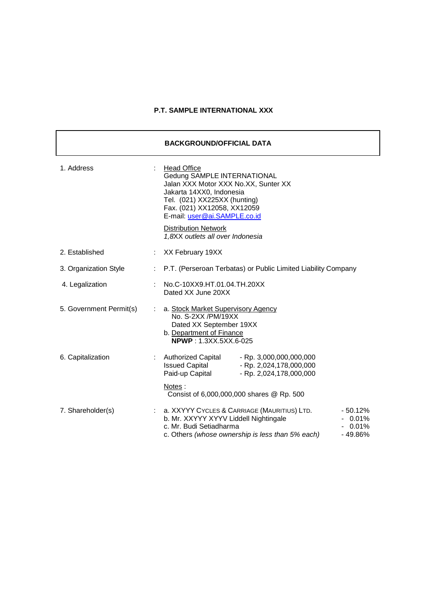## **P.T. SAMPLE INTERNATIONAL XXX**

|                         |                           | <b>BACKGROUND/OFFICIAL DATA</b>                                                                                                                                                                                        |  |
|-------------------------|---------------------------|------------------------------------------------------------------------------------------------------------------------------------------------------------------------------------------------------------------------|--|
| 1. Address              |                           | <b>Head Office</b><br>Gedung SAMPLE INTERNATIONAL<br>Jalan XXX Motor XXX No.XX, Sunter XX<br>Jakarta 14XX0, Indonesia<br>Tel. (021) XX225XX (hunting)<br>Fax. (021) XX12058, XX12059<br>E-mail: user@ai.SAMPLE.co.id   |  |
|                         |                           | <b>Distribution Network</b><br>1,8XX outlets all over Indonesia                                                                                                                                                        |  |
| 2. Established          |                           | XX February 19XX                                                                                                                                                                                                       |  |
| 3. Organization Style   | $\mathbb{R}^{\mathbb{Z}}$ | P.T. (Perseroan Terbatas) or Public Limited Liability Company                                                                                                                                                          |  |
| 4. Legalization         |                           | No.C-10XX9.HT.01.04.TH.20XX<br>Dated XX June 20XX                                                                                                                                                                      |  |
| 5. Government Permit(s) |                           | a. Stock Market Supervisory Agency<br>No. S-2XX /PM/19XX<br>Dated XX September 19XX<br>b. Department of Finance<br><b>NPWP: 1.3XX.5XX.6-025</b>                                                                        |  |
| 6. Capitalization       |                           | Authorized Capital - Rp. 3,000,000,000,000<br>Issued Capital - Rp. 2,024,178,000,000<br>Paid-up Capital<br>- Rp. 2,024,178,000,000                                                                                     |  |
|                         |                           | Notes:<br>Consist of 6,000,000,000 shares @ Rp. 500                                                                                                                                                                    |  |
| 7. Shareholder(s)       |                           | a. XXYYY CYCLES & CARRIAGE (MAURITIUS) LTD.<br>$-50.12%$<br>b. Mr. XXYYY XYYV Liddell Nightingale<br>$-0.01\%$<br>c. Mr. Budi Setiadharma<br>$-0.01%$<br>c. Others (whose ownership is less than 5% each)<br>$-49.86%$ |  |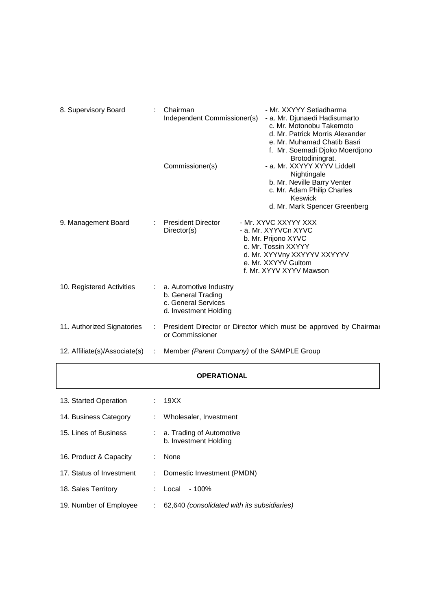| 8. Supervisory Board          | Chairman<br>Independent Commissioner(s)                                                        | - Mr. XXYYY Setiadharma<br>- a. Mr. Djunaedi Hadisumarto<br>c. Mr. Motonobu Takemoto<br>d. Mr. Patrick Morris Alexander<br>e. Mr. Muhamad Chatib Basri<br>f. Mr. Soemadi Djoko Moerdjono<br>Brotodiningrat. |
|-------------------------------|------------------------------------------------------------------------------------------------|-------------------------------------------------------------------------------------------------------------------------------------------------------------------------------------------------------------|
|                               | Commissioner(s)                                                                                | - a. Mr. XXYYY XYYV Liddell<br>Nightingale<br>b. Mr. Neville Barry Venter<br>c. Mr. Adam Philip Charles<br>Keswick<br>d. Mr. Mark Spencer Greenberg                                                         |
| 9. Management Board           | <b>President Director</b><br>Director(s)                                                       | - Mr. XYVC XXYYY XXX<br>- a. Mr. XYYVCn XYVC<br>b. Mr. Prijono XYVC<br>c. Mr. Tossin XXYYY<br>d. Mr. XYYVny XXYYYV XXYYYV<br>e. Mr. XXYYV Gultom<br>f. Mr. XYYV XYYV Mawson                                 |
| 10. Registered Activities     | : a. Automotive Industry<br>b. General Trading<br>c. General Services<br>d. Investment Holding |                                                                                                                                                                                                             |
| 11. Authorized Signatories    | or Commissioner                                                                                | President Director or Director which must be approved by Chairmar                                                                                                                                           |
| 12. Affiliate(s)/Associate(s) | Member (Parent Company) of the SAMPLE Group                                                    |                                                                                                                                                                                                             |

## **OPERATIONAL**

| 13. Started Operation    | : 19XX                                                |
|--------------------------|-------------------------------------------------------|
| 14. Business Category    | Wholesaler, Investment                                |
| 15. Lines of Business    | $: a.$ Trading of Automotive<br>b. Investment Holding |
| 16. Product & Capacity   | None                                                  |
| 17. Status of Investment | Domestic Investment (PMDN)                            |
| 18. Sales Territory      | $-100%$<br>Local                                      |
| 19. Number of Employee   | 62,640 (consolidated with its subsidiaries)           |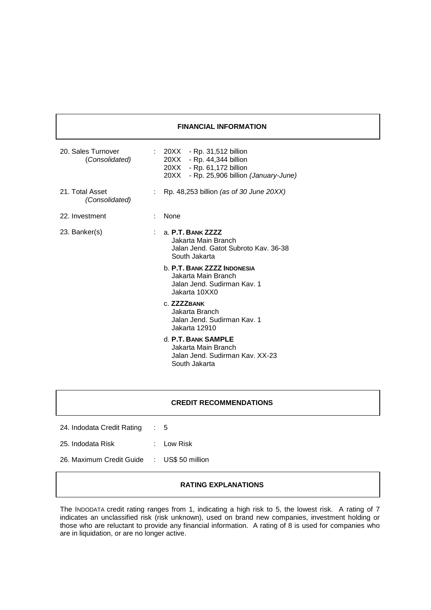### **FINANCIAL INFORMATION**

| 20. Sales Turnover<br>(Consolidated) |                                                                                                                                                                                               | $: 20XX - Rp. 31,512 billion$<br>20XX - Rp. 44,344 billion<br>20XX - Rp. 61,172 billion<br>20XX - Rp. 25,906 billion (January-June) |
|--------------------------------------|-----------------------------------------------------------------------------------------------------------------------------------------------------------------------------------------------|-------------------------------------------------------------------------------------------------------------------------------------|
| 21. Total Asset<br>(Consolidated)    |                                                                                                                                                                                               | Rp. 48,253 billion (as of 30 June 20XX)                                                                                             |
| 22. Investment                       |                                                                                                                                                                                               | None                                                                                                                                |
| 23. Banker(s)                        | a. P.T. BANK ZZZZ<br>Jakarta Main Branch<br>Jalan Jend. Gatot Subroto Kav. 36-38<br>South Jakarta<br><b>b. P.T. BANK ZZZZ INDONESIA</b><br>Jakarta Main Branch<br>Jalan Jend. Sudirman Kav. 1 |                                                                                                                                     |
|                                      |                                                                                                                                                                                               | Jakarta 10XX0<br>$C$ $ZZZZ$ RANK<br>Jakarta Branch<br>Jalan Jend. Sudirman Kav. 1<br>Jakarta 12910                                  |
|                                      |                                                                                                                                                                                               | d. P.T. BANK SAMPLE<br>Jakarta Main Branch<br>Jalan Jend, Sudirman Kav, XX-23<br>South Jakarta                                      |

## **CREDIT RECOMMENDATIONS**

| 24. Indodata Credit Rating                 | : 5          |
|--------------------------------------------|--------------|
| 25. Indodata Risk                          | $:$ Low Risk |
| 26. Maximum Credit Guide : US\$ 50 million |              |

### **RATING EXPLANATIONS**

The INDODATA credit rating ranges from 1, indicating a high risk to 5, the lowest risk. A rating of 7 indicates an unclassified risk (risk unknown), used on brand new companies, investment holding or those who are reluctant to provide any financial information. A rating of 8 is used for companies who are in liquidation, or are no longer active.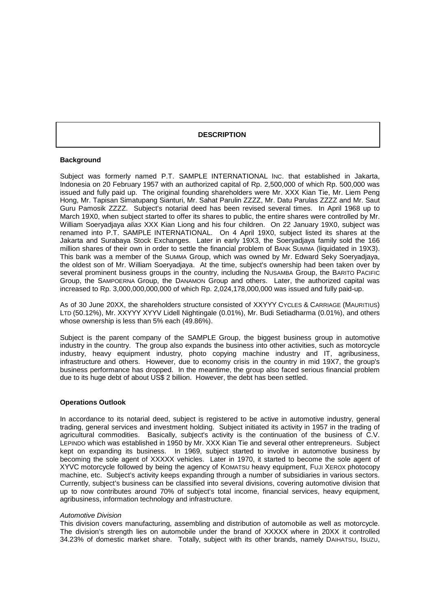#### **DESCRIPTION**

#### **Background**

Subject was formerly named P.T. SAMPLE INTERNATIONAL INC. that established in Jakarta, Indonesia on 20 February 1957 with an authorized capital of Rp. 2,500,000 of which Rp. 500,000 was issued and fully paid up. The original founding shareholders were Mr. XXX Kian Tie, Mr. Liem Peng Hong, Mr. Tapisan Simatupang Sianturi, Mr. Sahat Parulin ZZZZ, Mr. Datu Parulas ZZZZ and Mr. Saut Guru Pamosik ZZZZ. Subject's notarial deed has been revised several times. In April 1968 up to March 19X0, when subject started to offer its shares to public, the entire shares were controlled by Mr. William Soeryadjaya *alias* XXX Kian Liong and his four children. On 22 January 19X0, subject was renamed into P.T. SAMPLE INTERNATIONAL. On 4 April 19X0, subject listed its shares at the Jakarta and Surabaya Stock Exchanges. Later in early 19X3, the Soeryadjaya family sold the 166 million shares of their own in order to settle the financial problem of BANK SUMMA (liquidated in 19X3). This bank was a member of the SUMMA Group, which was owned by Mr. Edward Seky Soeryadjaya, the oldest son of Mr. William Soeryadjaya. At the time, subject's ownership had been taken over by several prominent business groups in the country, including the NUSAMBA Group, the BARITO PACIFIC Group, the SAMPOERNA Group, the DANAMON Group and others. Later, the authorized capital was increased to Rp. 3,000,000,000,000 of which Rp. 2,024,178,000,000 was issued and fully paid-up.

As of 30 June 20XX, the shareholders structure consisted of XXYYY CYCLES & CARRIAGE (MAURITIUS) LTD (50.12%), Mr. XXYYY XYYV Lidell Nightingale (0.01%), Mr. Budi Setiadharma (0.01%), and others whose ownership is less than 5% each (49.86%).

Subject is the parent company of the SAMPLE Group, the biggest business group in automotive industry in the country. The group also expands the business into other activities, such as motorcycle industry, heavy equipment industry, photo copying machine industry and IT, agribusiness, infrastructure and others. However, due to economy crisis in the country in mid 19X7, the group's business performance has dropped. In the meantime, the group also faced serious financial problem due to its huge debt of about US\$ 2 billion. However, the debt has been settled.

#### **Operations Outlook**

In accordance to its notarial deed, subject is registered to be active in automotive industry, general trading, general services and investment holding. Subject initiated its activity in 1957 in the trading of agricultural commodities. Basically, subject's activity is the continuation of the business of C.V. LEPINDO which was established in 1950 by Mr. XXX Kian Tie and several other entrepreneurs. Subject kept on expanding its business. In 1969, subject started to involve in automotive business by becoming the sole agent of XXXXX vehicles. Later in 1970, it started to become the sole agent of XYVC motorcycle followed by being the agency of KOMATSU heavy equipment, FUJI XEROX photocopy machine, etc. Subject's activity keeps expanding through a number of subsidiaries in various sectors. Currently, subject's business can be classified into several divisions, covering automotive division that up to now contributes around 70% of subject's total income, financial services, heavy equipment, agribusiness, information technology and infrastructure.

#### *Automotive Division*

This division covers manufacturing, assembling and distribution of automobile as well as motorcycle. The division's strength lies on automobile under the brand of XXXXX where in 20XX it controlled 34.23% of domestic market share. Totally, subject with its other brands, namely DAIHATSU, ISUZU,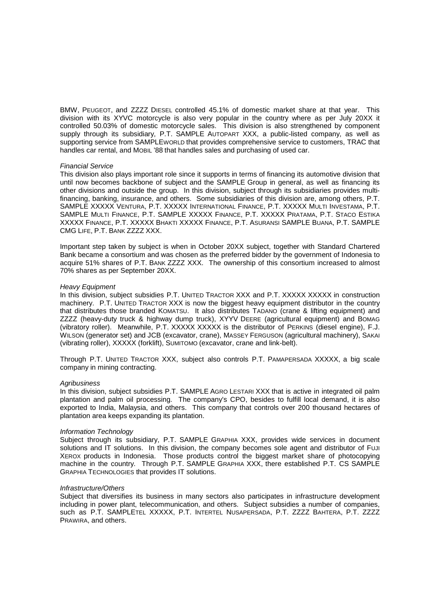BMW, PEUGEOT, and ZZZZ DIESEL controlled 45.1% of domestic market share at that year. This division with its XYVC motorcycle is also very popular in the country where as per July 20XX it controlled 50.03% of domestic motorcycle sales. This division is also strengthened by component supply through its subsidiary, P.T. SAMPLE AUTOPART XXX, a public-listed company, as well as supporting service from SAMPLEWORLD that provides comprehensive service to customers, TRAC that handles car rental, and MOBIL '88 that handles sales and purchasing of used car.

#### *Financial Service*

This division also plays important role since it supports in terms of financing its automotive division that until now becomes backbone of subject and the SAMPLE Group in general, as well as financing its other divisions and outside the group. In this division, subject through its subsidiaries provides multifinancing, banking, insurance, and others. Some subsidiaries of this division are, among others, P.T. SAMPLE XXXXX VENTURA, P.T. XXXXX INTERNATIONAL FINANCE, P.T. XXXXX MULTI INVESTAMA, P.T. SAMPLE MULTI FINANCE, P.T. SAMPLE XXXXX FINANCE, P.T. XXXXX PRATAMA, P.T. STACO ESTIKA XXXXX FINANCE, P.T. XXXXX BHAKTI XXXXX FINANCE, P.T. ASURANSI SAMPLE BUANA, P.T. SAMPLE CMG LIFE, P.T. BANK ZZZZ XXX.

Important step taken by subject is when in October 20XX subject, together with Standard Chartered Bank became a consortium and was chosen as the preferred bidder by the government of Indonesia to acquire 51% shares of P.T. BANK ZZZZ XXX. The ownership of this consortium increased to almost 70% shares as per September 20XX.

#### *Heavy Equipment*

In this division, subject subsidies P.T. UNITED TRACTOR XXX and P.T. XXXXX XXXXX in construction machinery. P.T. UNITED TRACTOR XXX is now the biggest heavy equipment distributor in the country that distributes those branded KOMATSU. It also distributes TADANO (crane & lifting equipment) and ZZZZ (heavy-duty truck & highway dump truck), XYYV DEERE (agricultural equipment) and BOMAG (vibratory roller). Meanwhile, P.T. XXXXX XXXXX is the distributor of PERKINS (diesel engine), F.J. WILSON (generator set) and JCB (excavator, crane), MASSEY FERGUSON (agricultural machinery), SAKAI (vibrating roller), XXXXX (forklift), SUMITOMO (excavator, crane and link-belt).

Through P.T. UNITED TRACTOR XXX, subject also controls P.T. PAMAPERSADA XXXXX, a big scale company in mining contracting.

#### *Agribusiness*

In this division, subject subsidies P.T. SAMPLE AGRO LESTARI XXX that is active in integrated oil palm plantation and palm oil processing. The company's CPO, besides to fulfill local demand, it is also exported to India, Malaysia, and others. This company that controls over 200 thousand hectares of plantation area keeps expanding its plantation.

#### *Information Technology*

Subject through its subsidiary, P.T. SAMPLE GRAPHIA XXX, provides wide services in document solutions and IT solutions. In this division, the company becomes sole agent and distributor of FUJI XEROX products in Indonesia. Those products control the biggest market share of photocopying machine in the country. Through P.T. SAMPLE GRAPHIA XXX, there established P.T. CS SAMPLE GRAPHIA TECHNOLOGIES that provides IT solutions.

#### *Infrastructure/Others*

Subject that diversifies its business in many sectors also participates in infrastructure development including in power plant, telecommunication, and others. Subject subsidies a number of companies, such as P.T. SAMPLETEL XXXXX, P.T. INTERTEL NUSAPERSADA, P.T. ZZZZ BAHTERA, P.T. ZZZZ PRAWIRA, and others.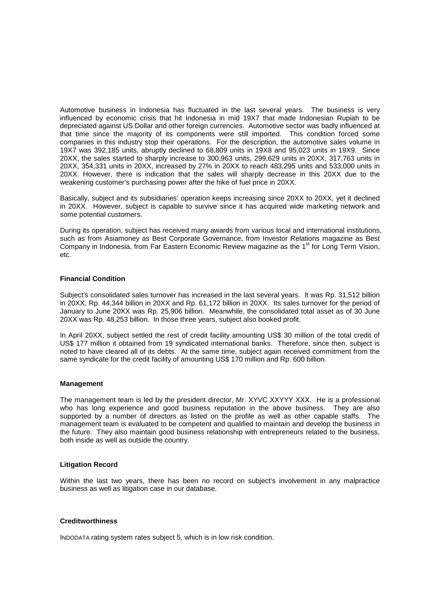Automotive business in Indonesia has fluctuated in the last several years. The business is very influenced by economic crisis that hit Indonesia in mid 19X7 that made Indonesian Rupiah to be depreciated against US Dollar and other foreign currencies. Automotive sector was badly influenced at that time since the majority of its components were still imported. This condition forced some companies in this industry stop their operations. For the description, the automotive sales volume in 19X7 was 392,185 units, abruptly declined to 68,809 units in 19X8 and 95,023 units in 19X9. Since 20XX, the sales started to sharply increase to 300,963 units, 299,629 units in 20XX, 317,763 units in 20XX, 354,331 units in 20XX, increased by 27% in 20XX to reach 483,295 units and 533,000 units in 20XX. However, there is indication that the sales will sharply decrease in this 20XX due to the weakening customer's purchasing power after the hike of fuel price in 20XX.

Basically, subject and its subsidiaries' operation keeps increasing since 20XX to 20XX, yet it declined in 20XX. However, subject is capable to survive since it has acquired wide marketing network and some potential customers.

During its operation, subject has received many awards from various local and international institutions, such as from Asiamoney as Best Corporate Governance, from Investor Relations magazine as Best Company in Indonesia, from Far Eastern Economic Review magazine as the 1<sup>st</sup> for Long Term Vision, etc.

#### **Financial Condition**

Subject's consolidated sales turnover has increased in the last several years. It was Rp. 31,512 billion in 20XX, Rp. 44,344 billion in 20XX and Rp. 61,172 billion in 20XX. Its sales turnover for the period of January to June 20XX was Rp. 25,906 billion. Meanwhile, the consolidated total asset as of 30 June 20XX was Rp. 48,253 billion. In those three years, subject also booked profit.

In April 20XX, subject settled the rest of credit facility amounting US\$ 30 million of the total credit of US\$ 177 million it obtained from 19 syndicated international banks. Therefore, since then, subject is noted to have cleared all of its debts. At the same time, subject again received commitment from the same syndicate for the credit facility of amounting US\$ 170 million and Rp. 600 billion.

#### **Management**

The management team is led by the president director, Mr. XYVC XXYYY XXX. He is a professional who has long experience and good business reputation in the above business. They are also supported by a number of directors as listed on the profile as well as other capable staffs. The management team is evaluated to be competent and qualified to maintain and develop the business in the future. They also maintain good business relationship with entrepreneurs related to the business, both inside as well as outside the country.

#### **Litigation Record**

Within the last two years, there has been no record on subject's involvement in any malpractice business as well as litigation case in our database.

#### **Creditworthiness**

INDODATA rating system rates subject 5, which is in low risk condition.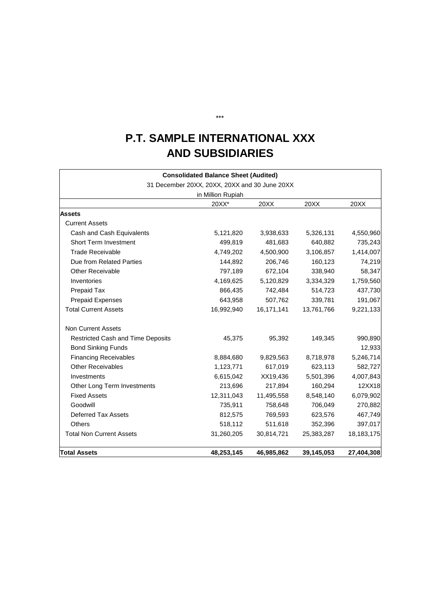## **P.T. SAMPLE INTERNATIONAL XXX AND SUBSIDIARIES**

|                                          | <b>Consolidated Balance Sheet (Audited)</b>   |            |            |            |
|------------------------------------------|-----------------------------------------------|------------|------------|------------|
|                                          | 31 December 20XX, 20XX, 20XX and 30 June 20XX |            |            |            |
|                                          | in Million Rupiah                             |            |            |            |
|                                          | 20XX*                                         | 20XX       | 20XX       | 20XX       |
| <b>Assets</b>                            |                                               |            |            |            |
| <b>Current Assets</b>                    |                                               |            |            |            |
| Cash and Cash Equivalents                | 5,121,820                                     | 3,938,633  | 5,326,131  | 4,550,960  |
| <b>Short Term Investment</b>             | 499,819                                       | 481,683    | 640,882    | 735,243    |
| <b>Trade Receivable</b>                  | 4,749,202                                     | 4,500,900  | 3,106,857  | 1,414,007  |
| Due from Related Parties                 | 144,892                                       | 206,746    | 160,123    | 74,219     |
| Other Receivable                         | 797,189                                       | 672,104    | 338,940    | 58,347     |
| Inventories                              | 4,169,625                                     | 5,120,829  | 3,334,329  | 1,759,560  |
| Prepaid Tax                              | 866,435                                       | 742,484    | 514,723    | 437,730    |
| <b>Prepaid Expenses</b>                  | 643,958                                       | 507,762    | 339,781    | 191,067    |
| <b>Total Current Assets</b>              | 16,992,940                                    | 16,171,141 | 13,761,766 | 9,221,133  |
| <b>Non Current Assets</b>                |                                               |            |            |            |
| <b>Restricted Cash and Time Deposits</b> | 45,375                                        | 95,392     | 149,345    | 990,890    |
| <b>Bond Sinking Funds</b>                |                                               |            |            | 12,933     |
| <b>Financing Receivables</b>             | 8,884,680                                     | 9,829,563  | 8,718,978  | 5,246,714  |
| <b>Other Receivables</b>                 | 1,123,771                                     | 617,019    | 623,113    | 582,727    |
| Investments                              | 6,615,042                                     | XX19,436   | 5,501,396  | 4,007,843  |
| Other Long Term Investments              | 213,696                                       | 217,894    | 160,294    | 12XX18     |
| <b>Fixed Assets</b>                      | 12,311,043                                    | 11,495,558 | 8,548,140  | 6,079,902  |
| Goodwill                                 | 735,911                                       | 758,648    | 706,049    | 270,882    |
| <b>Deferred Tax Assets</b>               | 812,575                                       | 769,593    | 623,576    | 467,749    |
| <b>Others</b>                            | 518,112                                       | 511,618    | 352,396    | 397,017    |
| <b>Total Non Current Assets</b>          | 31,260,205                                    | 30,814,721 | 25,383,287 | 18,183,175 |
| <b>Total Assets</b>                      | 48,253,145                                    | 46,985,862 | 39,145,053 | 27,404,308 |

\*\*\*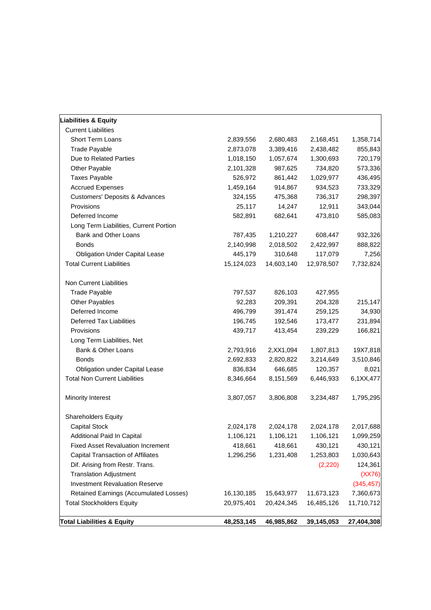| 20,975,401 | 20,424,345                                                                                                                                                  | 16,485,126                                                                                                                                                                | 11,710,712                                                                                                                                                               |
|------------|-------------------------------------------------------------------------------------------------------------------------------------------------------------|---------------------------------------------------------------------------------------------------------------------------------------------------------------------------|--------------------------------------------------------------------------------------------------------------------------------------------------------------------------|
|            |                                                                                                                                                             |                                                                                                                                                                           |                                                                                                                                                                          |
|            |                                                                                                                                                             |                                                                                                                                                                           |                                                                                                                                                                          |
|            |                                                                                                                                                             |                                                                                                                                                                           | 7,360,673                                                                                                                                                                |
|            |                                                                                                                                                             |                                                                                                                                                                           | (345, 457)                                                                                                                                                               |
|            |                                                                                                                                                             |                                                                                                                                                                           | 124,361<br>(XX76)                                                                                                                                                        |
|            |                                                                                                                                                             |                                                                                                                                                                           | 1,030,643                                                                                                                                                                |
|            |                                                                                                                                                             |                                                                                                                                                                           | 430,121                                                                                                                                                                  |
|            |                                                                                                                                                             |                                                                                                                                                                           | 1,099,259                                                                                                                                                                |
|            |                                                                                                                                                             |                                                                                                                                                                           | 2,017,688                                                                                                                                                                |
|            |                                                                                                                                                             |                                                                                                                                                                           |                                                                                                                                                                          |
|            |                                                                                                                                                             |                                                                                                                                                                           |                                                                                                                                                                          |
|            |                                                                                                                                                             |                                                                                                                                                                           | 1,795,295                                                                                                                                                                |
| 8,346,664  | 8,151,569                                                                                                                                                   | 6,446,933                                                                                                                                                                 | 6,1XX,477                                                                                                                                                                |
| 836,834    | 646,685                                                                                                                                                     | 120,357                                                                                                                                                                   | 8,021                                                                                                                                                                    |
| 2,692,833  | 2,820,822                                                                                                                                                   | 3,214,649                                                                                                                                                                 | 3,510,846                                                                                                                                                                |
|            |                                                                                                                                                             |                                                                                                                                                                           | 19X7,818                                                                                                                                                                 |
|            |                                                                                                                                                             |                                                                                                                                                                           |                                                                                                                                                                          |
|            |                                                                                                                                                             |                                                                                                                                                                           | 166,821                                                                                                                                                                  |
|            |                                                                                                                                                             |                                                                                                                                                                           | 231,894                                                                                                                                                                  |
|            |                                                                                                                                                             |                                                                                                                                                                           | 34,930                                                                                                                                                                   |
|            |                                                                                                                                                             |                                                                                                                                                                           | 215,147                                                                                                                                                                  |
| 797,537    |                                                                                                                                                             | 427,955                                                                                                                                                                   |                                                                                                                                                                          |
|            |                                                                                                                                                             |                                                                                                                                                                           |                                                                                                                                                                          |
| 15,124,023 | 14,603,140                                                                                                                                                  | 12,978,507                                                                                                                                                                | 7,732,824                                                                                                                                                                |
| 445,179    | 310,648                                                                                                                                                     | 117,079                                                                                                                                                                   | 7,256                                                                                                                                                                    |
| 2,140,998  | 2,018,502                                                                                                                                                   | 2,422,997                                                                                                                                                                 | 888,822                                                                                                                                                                  |
| 787,435    | 1,210,227                                                                                                                                                   | 608,447                                                                                                                                                                   | 932,326                                                                                                                                                                  |
|            |                                                                                                                                                             |                                                                                                                                                                           |                                                                                                                                                                          |
| 582,891    | 682,641                                                                                                                                                     | 473,810                                                                                                                                                                   | 585,083                                                                                                                                                                  |
| 25,117     | 14,247                                                                                                                                                      | 12,911                                                                                                                                                                    | 343,044                                                                                                                                                                  |
| 324,155    | 475,368                                                                                                                                                     | 736,317                                                                                                                                                                   | 298,397                                                                                                                                                                  |
| 1,459,164  | 914,867                                                                                                                                                     | 934,523                                                                                                                                                                   | 733,329                                                                                                                                                                  |
| 526,972    | 861,442                                                                                                                                                     | 1,029,977                                                                                                                                                                 | 436,495                                                                                                                                                                  |
| 2,101,328  | 987,625                                                                                                                                                     | 734,820                                                                                                                                                                   | 573,336                                                                                                                                                                  |
| 1,018,150  | 1,057,674                                                                                                                                                   | 1,300,693                                                                                                                                                                 | 720,179                                                                                                                                                                  |
|            |                                                                                                                                                             |                                                                                                                                                                           | 855,843                                                                                                                                                                  |
|            |                                                                                                                                                             |                                                                                                                                                                           | 1,358,714                                                                                                                                                                |
|            |                                                                                                                                                             |                                                                                                                                                                           |                                                                                                                                                                          |
|            |                                                                                                                                                             |                                                                                                                                                                           |                                                                                                                                                                          |
|            | 2,839,556<br>2,873,078<br>92,283<br>496,799<br>196,745<br>439,717<br>2,793,916<br>3,807,057<br>2,024,178<br>1,106,121<br>418,661<br>1,296,256<br>16,130,185 | 2,680,483<br>3,389,416<br>826,103<br>209,391<br>391,474<br>192,546<br>413,454<br>2, XX1, 094<br>3,806,808<br>2,024,178<br>1,106,121<br>418,661<br>1,231,408<br>15,643,977 | 2,168,451<br>2,438,482<br>204,328<br>259,125<br>173,477<br>239,229<br>1,807,813<br>3,234,487<br>2,024,178<br>1,106,121<br>430,121<br>1,253,803<br>(2, 220)<br>11,673,123 |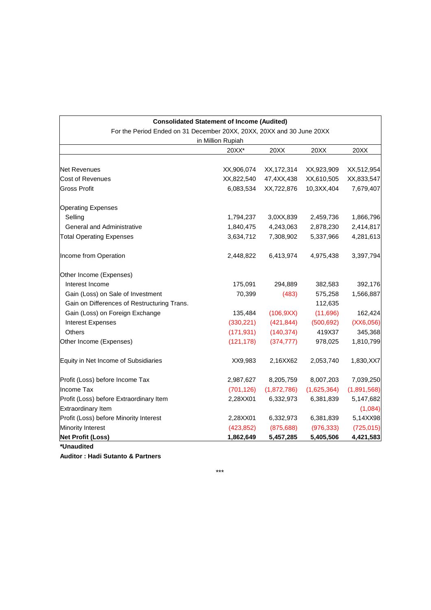|                                                                       | <b>Consolidated Statement of Income (Audited)</b> |              |             |             |
|-----------------------------------------------------------------------|---------------------------------------------------|--------------|-------------|-------------|
| For the Period Ended on 31 December 20XX, 20XX, 20XX and 30 June 20XX |                                                   |              |             |             |
|                                                                       | in Million Rupiah                                 |              |             |             |
|                                                                       | 20XX*                                             | 20XX         | 20XX        | 20XX        |
| <b>Net Revenues</b>                                                   | XX,906,074                                        | XX, 172, 314 | XX,923,909  | XX,512,954  |
| Cost of Revenues                                                      | XX,822,540                                        | 47,4XX,438   | XX,610,505  | XX,833,547  |
| <b>Gross Profit</b>                                                   | 6,083,534                                         | XX,722,876   | 10,3XX,404  | 7,679,407   |
| <b>Operating Expenses</b>                                             |                                                   |              |             |             |
| Selling                                                               | 1,794,237                                         | 3,0XX,839    | 2,459,736   | 1,866,796   |
| <b>General and Administrative</b>                                     | 1,840,475                                         | 4,243,063    | 2,878,230   | 2,414,817   |
| <b>Total Operating Expenses</b>                                       | 3,634,712                                         | 7,308,902    | 5,337,966   | 4,281,613   |
| Income from Operation                                                 | 2,448,822                                         | 6,413,974    | 4,975,438   | 3,397,794   |
| Other Income (Expenses)                                               |                                                   |              |             |             |
| Interest Income                                                       | 175,091                                           | 294,889      | 382,583     | 392,176     |
| Gain (Loss) on Sale of Investment                                     | 70,399                                            | (483)        | 575,258     | 1,566,887   |
| Gain on Differences of Restructuring Trans.                           |                                                   |              | 112,635     |             |
| Gain (Loss) on Foreign Exchange                                       | 135,484                                           | (106,9XX)    | (11,696)    | 162,424     |
| <b>Interest Expenses</b>                                              | (330, 221)                                        | (421, 844)   | (500, 692)  | (XX6,056)   |
| <b>Others</b>                                                         | (171, 931)                                        | (140, 374)   | 419X37      | 345,368     |
| Other Income (Expenses)                                               | (121, 178)                                        | (374, 777)   | 978,025     | 1,810,799   |
| Equity in Net Income of Subsidiaries                                  | XX9,983                                           | 2,16XX62     | 2,053,740   | 1,830, XX7  |
| Profit (Loss) before Income Tax                                       | 2,987,627                                         | 8,205,759    | 8,007,203   | 7,039,250   |
| Income Tax                                                            | (701, 126)                                        | (1,872,786)  | (1,625,364) | (1,891,568) |
| Profit (Loss) before Extraordinary Item                               | 2,28XX01                                          | 6,332,973    | 6,381,839   | 5,147,682   |
| Extraordinary Item                                                    |                                                   |              |             | (1,084)     |
| Profit (Loss) before Minority Interest                                | 2,28XX01                                          | 6,332,973    | 6,381,839   | 5,14XX98    |
| <b>Minority Interest</b>                                              | (423, 852)                                        | (875, 688)   | (976, 333)  | (725, 015)  |
| <b>Net Profit (Loss)</b>                                              | 1,862,649                                         | 5,457,285    | 5,405,506   | 4,421,583   |

**Auditor : Hadi Sutanto & Partners** 

\*\*\*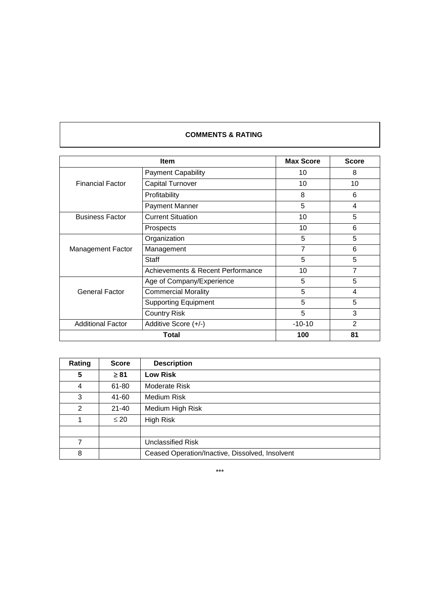## **COMMENTS & RATING**

|                          | <b>Item</b>                       |                |                |  |
|--------------------------|-----------------------------------|----------------|----------------|--|
|                          | <b>Payment Capability</b>         | 10             | 8              |  |
| <b>Financial Factor</b>  | <b>Capital Turnover</b>           | 10             | 10             |  |
|                          | Profitability                     | 8              | 6              |  |
|                          | Payment Manner                    | 5              | 4              |  |
| <b>Business Factor</b>   | <b>Current Situation</b>          | 10             | 5              |  |
|                          | Prospects                         | 10             | 6              |  |
|                          | Organization                      | 5              | 5              |  |
| Management Factor        | Management                        | $\overline{7}$ | 6              |  |
|                          | Staff                             | 5              | 5              |  |
|                          | Achievements & Recent Performance | 10             | 7              |  |
|                          | Age of Company/Experience         | 5              | 5              |  |
| <b>General Factor</b>    | <b>Commercial Morality</b>        | 5              | 4              |  |
|                          | <b>Supporting Equipment</b>       | 5              | 5              |  |
|                          | <b>Country Risk</b>               | 5              | 3              |  |
| <b>Additional Factor</b> | Additive Score (+/-)              | $-10-10$       | $\overline{2}$ |  |
|                          | 100                               | 81             |                |  |

| Rating | <b>Score</b> | <b>Description</b>                              |
|--------|--------------|-------------------------------------------------|
| 5      | $\geq 81$    | <b>Low Risk</b>                                 |
| 4      | 61-80        | Moderate Risk                                   |
| 3      | 41-60        | Medium Risk                                     |
| 2      | $21 - 40$    | Medium High Risk                                |
| 1      | $\leq 20$    | High Risk                                       |
|        |              |                                                 |
| 7      |              | Unclassified Risk                               |
| 8      |              | Ceased Operation/Inactive, Dissolved, Insolvent |

\*\*\*